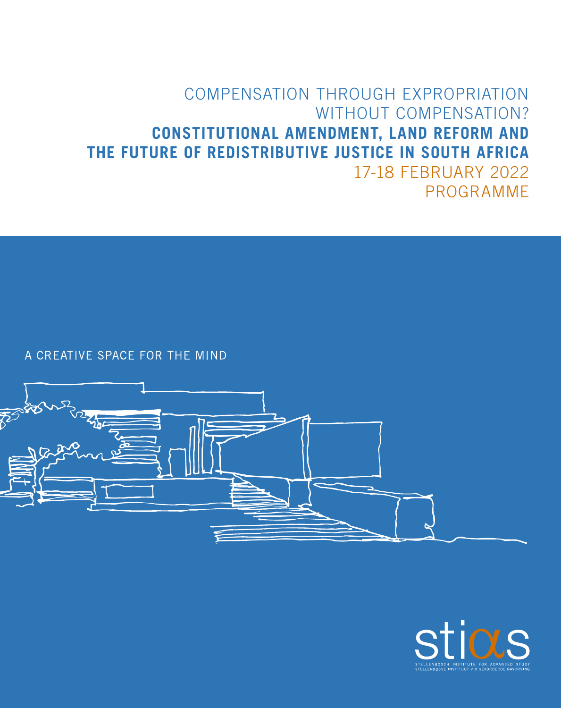## COMPENSATION THROUGH EXPROPRIATION WITHOUT COMPENSATION? **CONSTITUTIONAL AMENDMENT, LAND REFORM AND THE FUTURE OF REDISTRIBUTIVE JUSTICE IN SOUTH AFRICA** 17-18 FEBRUARY 2022 PROGRAMME

A CREATIVE SPACE FOR THE MIND



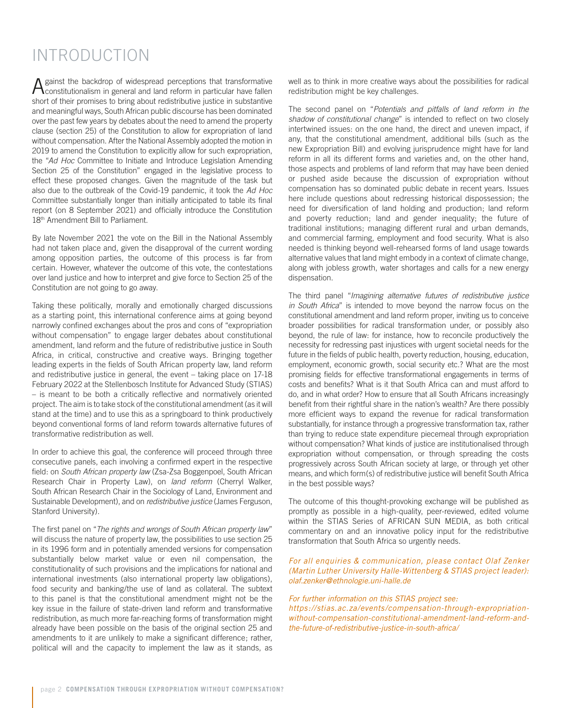## INTRODUCTION

Against the backdrop of widespread perceptions that transformative constitutionalism in general and land reform in particular have fallen short of their promises to bring about redistributive justice in substantive and meaningful ways, South African public discourse has been dominated over the past few years by debates about the need to amend the property clause (section 25) of the Constitution to allow for expropriation of land without compensation. After the National Assembly adopted the motion in 2019 to amend the Constitution to explicitly allow for such expropriation, the "*Ad Hoc* Committee to Initiate and Introduce Legislation Amending Section 25 of the Constitution" engaged in the legislative process to effect these proposed changes. Given the magnitude of the task but also due to the outbreak of the Covid-19 pandemic, it took the *Ad Hoc* Committee substantially longer than initially anticipated to table its final report (on 8 September 2021) and officially introduce the Constitution 18<sup>th</sup> Amendment Bill to Parliament.

By late November 2021 the vote on the Bill in the National Assembly had not taken place and, given the disapproval of the current wording among opposition parties, the outcome of this process is far from certain. However, whatever the outcome of this vote, the contestations over land justice and how to interpret and give force to Section 25 of the Constitution are not going to go away.

Taking these politically, morally and emotionally charged discussions as a starting point, this international conference aims at going beyond narrowly confined exchanges about the pros and cons of "expropriation without compensation" to engage larger debates about constitutional amendment, land reform and the future of redistributive justice in South Africa, in critical, constructive and creative ways. Bringing together leading experts in the fields of South African property law, land reform and redistributive justice in general, the event – taking place on 17-18 February 2022 at the Stellenbosch Institute for Advanced Study (STIAS) – is meant to be both a critically reflective and normatively oriented project. The aim is to take stock of the constitutional amendment (as it will stand at the time) and to use this as a springboard to think productively beyond conventional forms of land reform towards alternative futures of transformative redistribution as well.

In order to achieve this goal, the conference will proceed through three consecutive panels, each involving a confirmed expert in the respective field: on *South African property law* (Zsa-Zsa Boggenpoel, South African Research Chair in Property Law), on *land reform* (Cherryl Walker, South African Research Chair in the Sociology of Land, Environment and Sustainable Development), and on *redistributive justice* (James Ferguson, Stanford University).

The first panel on "*The rights and wrongs of South African property law*" will discuss the nature of property law, the possibilities to use section 25 in its 1996 form and in potentially amended versions for compensation substantially below market value or even nil compensation, the constitutionality of such provisions and the implications for national and international investments (also international property law obligations), food security and banking/the use of land as collateral. The subtext to this panel is that the constitutional amendment might not be the key issue in the failure of state-driven land reform and transformative redistribution, as much more far-reaching forms of transformation might already have been possible on the basis of the original section 25 and amendments to it are unlikely to make a significant difference; rather, political will and the capacity to implement the law as it stands, as

well as to think in more creative ways about the possibilities for radical redistribution might be key challenges.

The second panel on "*Potentials and pitfalls of land reform in the shadow of constitutional change*" is intended to reflect on two closely intertwined issues: on the one hand, the direct and uneven impact, if any, that the constitutional amendment, additional bills (such as the new Expropriation Bill) and evolving jurisprudence might have for land reform in all its different forms and varieties and, on the other hand, those aspects and problems of land reform that may have been denied or pushed aside because the discussion of expropriation without compensation has so dominated public debate in recent years. Issues here include questions about redressing historical dispossession; the need for diversification of land holding and production; land reform and poverty reduction; land and gender inequality; the future of traditional institutions; managing different rural and urban demands, and commercial farming, employment and food security. What is also needed is thinking beyond well-rehearsed forms of land usage towards alternative values that land might embody in a context of climate change, along with jobless growth, water shortages and calls for a new energy dispensation.

The third panel "*Imagining alternative futures of redistributive justice in South Africa*" is intended to move beyond the narrow focus on the constitutional amendment and land reform proper, inviting us to conceive broader possibilities for radical transformation under, or possibly also beyond, the rule of law: for instance, how to reconcile productively the necessity for redressing past injustices with urgent societal needs for the future in the fields of public health, poverty reduction, housing, education, employment, economic growth, social security etc.? What are the most promising fields for effective transformational engagements in terms of costs and benefits? What is it that South Africa can and must afford to do, and in what order? How to ensure that all South Africans increasingly benefit from their rightful share in the nation's wealth? Are there possibly more efficient ways to expand the revenue for radical transformation substantially, for instance through a progressive transformation tax, rather than trying to reduce state expenditure piecemeal through expropriation without compensation? What kinds of justice are institutionalised through expropriation without compensation, or through spreading the costs progressively across South African society at large, or through yet other means, and which form(s) of redistributive justice will benefit South Africa in the best possible ways?

The outcome of this thought-provoking exchange will be published as promptly as possible in a high-quality, peer-reviewed, edited volume within the STIAS Series of AFRICAN SUN MEDIA, as both critical commentary on and an innovative policy input for the redistributive transformation that South Africa so urgently needs.

#### *For all enquiries & communication, please contact Olaf Zenker (Martin Luther University Halle-Wittenberg & STIAS project leader): olaf.zenker@ethnologie.uni-halle.de*

#### *For further information on this STIAS project see:*

*[https://stias.ac.za/events/compensation-through-expropriation](https://stias.ac.za/events/compensation-through-expropriation-without-compensation-constitutional-amendment-land-reform-and-the-future-of-redistributive-justice-in-south-africa/)[without-compensation-constitutional-amendment-land-reform-and](https://stias.ac.za/events/compensation-through-expropriation-without-compensation-constitutional-amendment-land-reform-and-the-future-of-redistributive-justice-in-south-africa/)[the-future-of-redistributive-justice-in-south-africa/](https://stias.ac.za/events/compensation-through-expropriation-without-compensation-constitutional-amendment-land-reform-and-the-future-of-redistributive-justice-in-south-africa/)*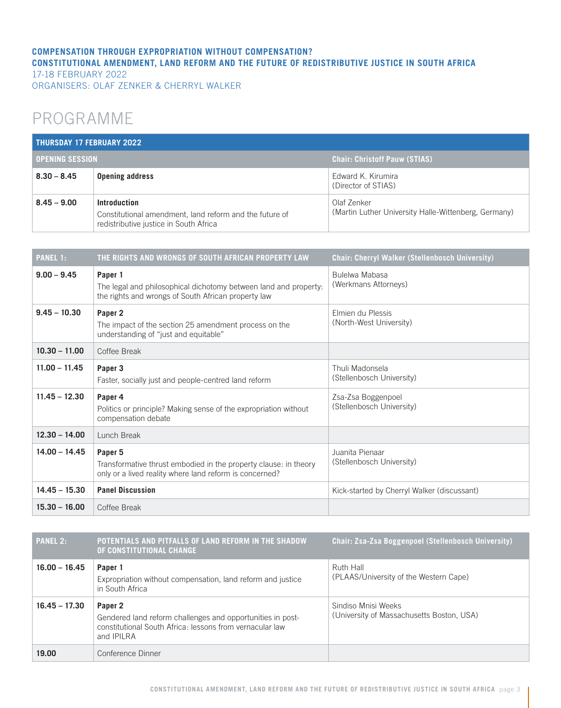#### **COMPENSATION THROUGH EXPROPRIATION WITHOUT COMPENSATION? CONSTITUTIONAL AMENDMENT, LAND REFORM AND THE FUTURE OF REDISTRIBUTIVE JUSTICE IN SOUTH AFRICA** 17-18 FEBRUARY 2022

ORGANISERS: OLAF ZENKER & CHERRYL WALKER

## PROGRAMME

| THURSDAY 17 FEBRUARY 2022 |                                                                                                                   |                                                                     |  |  |
|---------------------------|-------------------------------------------------------------------------------------------------------------------|---------------------------------------------------------------------|--|--|
| <b>OPENING SESSION</b>    |                                                                                                                   | <b>Chair: Christoff Pauw (STIAS)</b>                                |  |  |
| $8.30 - 8.45$             | <b>Opening address</b>                                                                                            | Edward K. Kirumira<br>(Director of STIAS)                           |  |  |
| $8.45 - 9.00$             | Introduction<br>Constitutional amendment, land reform and the future of<br>redistributive justice in South Africa | Olaf Zenker<br>(Martin Luther University Halle-Wittenberg, Germany) |  |  |

| <b>PANEL 1:</b> | THE RIGHTS AND WRONGS OF SOUTH AFRICAN PROPERTY LAW                                                                                    | <b>Chair: Cherryl Walker (Stellenbosch University)</b> |
|-----------------|----------------------------------------------------------------------------------------------------------------------------------------|--------------------------------------------------------|
| $9.00 - 9.45$   | Paper 1<br>The legal and philosophical dichotomy between land and property.<br>the rights and wrongs of South African property law     | Bulelwa Mabasa<br>(Werkmans Attorneys)                 |
| $9.45 - 10.30$  | Paper 2<br>The impact of the section 25 amendment process on the<br>understanding of "just and equitable"                              | Elmien du Plessis<br>(North-West University)           |
| $10.30 - 11.00$ | Coffee Break                                                                                                                           |                                                        |
| $11.00 - 11.45$ | Paper 3<br>Faster, socially just and people-centred land reform                                                                        | Thuli Madonsela<br>(Stellenbosch University)           |
| $11.45 - 12.30$ | Paper 4<br>Politics or principle? Making sense of the expropriation without<br>compensation debate                                     | Zsa-Zsa Boggenpoel<br>(Stellenbosch University)        |
| $12.30 - 14.00$ | Lunch Break                                                                                                                            |                                                        |
| $14.00 - 14.45$ | Paper 5<br>Transformative thrust embodied in the property clause: in theory<br>only or a lived reality where land reform is concerned? | Juanita Pienaar<br>(Stellenbosch University)           |
| $14.45 - 15.30$ | <b>Panel Discussion</b>                                                                                                                | Kick-started by Cherryl Walker (discussant)            |
| $15.30 - 16.00$ | Coffee Break                                                                                                                           |                                                        |

| <b>PANEL 2:</b> | POTENTIALS AND PITFALLS OF LAND REFORM IN THE SHADOW<br>OF CONSTITUTIONAL CHANGE                                                                       | <b>Chair: Zsa-Zsa Boggenpoel (Stellenbosch University)</b>       |
|-----------------|--------------------------------------------------------------------------------------------------------------------------------------------------------|------------------------------------------------------------------|
| $16.00 - 16.45$ | Paper 1<br>Expropriation without compensation, land reform and justice<br>in South Africa                                                              | Ruth Hall<br>(PLAAS/University of the Western Cape)              |
| $16.45 - 17.30$ | Paper 2<br>Gendered land reform challenges and opportunities in post-<br>constitutional South Africa: lessons from vernacular law<br>and <b>IPILRA</b> | Sindiso Mnisi Weeks<br>(University of Massachusetts Boston, USA) |
| 19.00           | Conference Dinner                                                                                                                                      |                                                                  |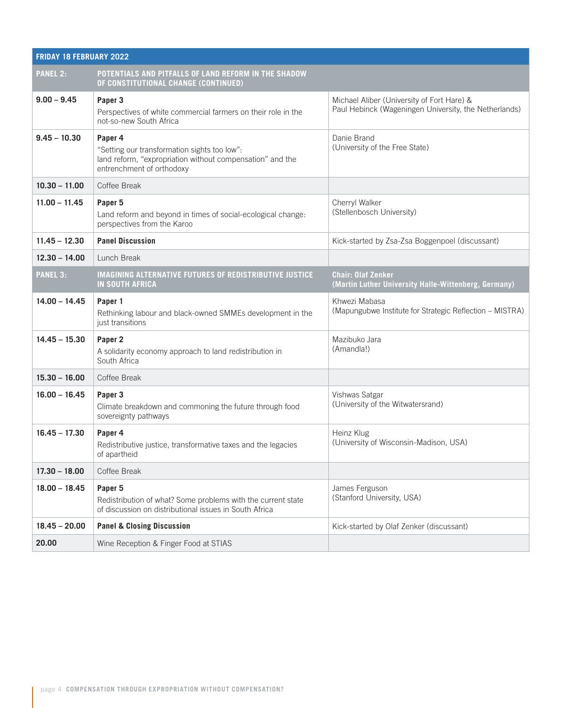| <b>FRIDAY 18 FEBRUARY 2022</b> |                                                                                                                                                   |                                                                                                     |  |  |
|--------------------------------|---------------------------------------------------------------------------------------------------------------------------------------------------|-----------------------------------------------------------------------------------------------------|--|--|
| <b>PANEL 2:</b>                | POTENTIALS AND PITFALLS OF LAND REFORM IN THE SHADOW<br>OF CONSTITUTIONAL CHANGE (CONTINUED)                                                      |                                                                                                     |  |  |
| $9.00 - 9.45$                  | Paper 3<br>Perspectives of white commercial farmers on their role in the<br>not-so-new South Africa                                               | Michael Aliber (University of Fort Hare) &<br>Paul Hebinck (Wageningen University, the Netherlands) |  |  |
| $9.45 - 10.30$                 | Paper 4<br>"Setting our transformation sights too low":<br>land reform, "expropriation without compensation" and the<br>entrenchment of orthodoxy | Danie Brand<br>(University of the Free State)                                                       |  |  |
| $10.30 - 11.00$                | Coffee Break                                                                                                                                      |                                                                                                     |  |  |
| $11.00 - 11.45$                | Paper 5<br>Land reform and beyond in times of social-ecological change:<br>perspectives from the Karoo                                            | Cherryl Walker<br>(Stellenbosch University)                                                         |  |  |
| $11.45 - 12.30$                | <b>Panel Discussion</b>                                                                                                                           | Kick-started by Zsa-Zsa Boggenpoel (discussant)                                                     |  |  |
| $12.30 - 14.00$                | Lunch Break                                                                                                                                       |                                                                                                     |  |  |
| <b>PANEL 3:</b>                | <b>IMAGINING ALTERNATIVE FUTURES OF REDISTRIBUTIVE JUSTICE</b><br><b>IN SOUTH AFRICA</b>                                                          | <b>Chair: Olaf Zenker</b><br>(Martin Luther University Halle-Wittenberg, Germany)                   |  |  |
| $14.00 - 14.45$                | Paper 1<br>Rethinking labour and black-owned SMMEs development in the<br>just transitions                                                         | Khwezi Mabasa<br>(Mapungubwe Institute for Strategic Reflection - MISTRA)                           |  |  |
| $14.45 - 15.30$                | Paper <sub>2</sub><br>A solidarity economy approach to land redistribution in<br>South Africa                                                     | Mazibuko Jara<br>(Amandla!)                                                                         |  |  |
| $15.30 - 16.00$                | Coffee Break                                                                                                                                      |                                                                                                     |  |  |
| $16.00 - 16.45$                | Paper 3<br>Climate breakdown and commoning the future through food<br>sovereignty pathways                                                        | Vishwas Satgar<br>(University of the Witwatersrand)                                                 |  |  |
| $16.45 - 17.30$                | Paper 4<br>Redistributive justice, transformative taxes and the legacies<br>of apartheid                                                          | Heinz Klug<br>(University of Wisconsin-Madison, USA)                                                |  |  |
| $17.30 - 18.00$                | Coffee Break                                                                                                                                      |                                                                                                     |  |  |
| $18.00 - 18.45$                | Paper 5<br>Redistribution of what? Some problems with the current state<br>of discussion on distributional issues in South Africa                 | James Ferguson<br>(Stanford University, USA)                                                        |  |  |
| $18.45 - 20.00$                | <b>Panel &amp; Closing Discussion</b>                                                                                                             | Kick-started by Olaf Zenker (discussant)                                                            |  |  |
| 20.00                          | Wine Reception & Finger Food at STIAS                                                                                                             |                                                                                                     |  |  |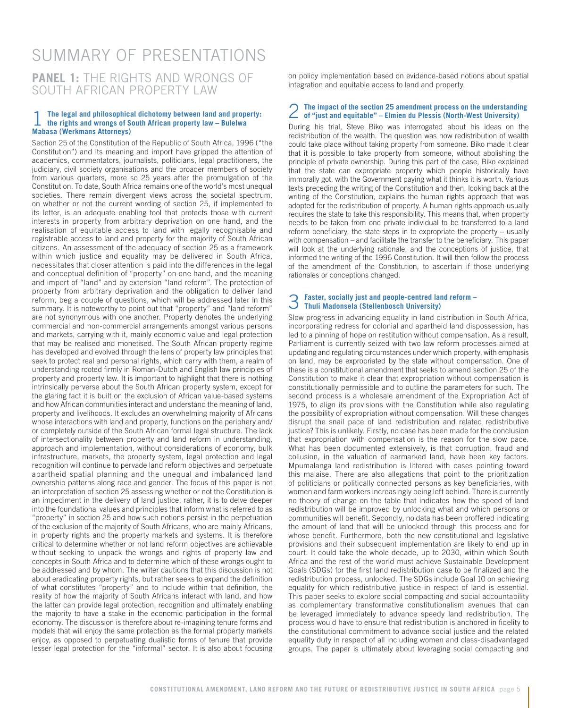## **PANEL 1:** THE RIGHTS AND WRONGS OF SOUTH AFRICAN PROPERTY LAW SUMMARY OF PRESENTATIONS

## 1 **The legal and philosophical dichotomy between land and property: the rights and wrongs of South African property law – Bulelwa Mabasa (Werkmans Attorneys)**

Section 25 of the Constitution of the Republic of South Africa, 1996 ("the Constitution") and its meaning and import have gripped the attention of academics, commentators, journalists, politicians, legal practitioners, the judiciary, civil society organisations and the broader members of society from various quarters, more so 25 years after the promulgation of the Constitution. To date, South Africa remains one of the world's most unequal societies. There remain divergent views across the societal spectrum, on whether or not the current wording of section 25, if implemented to its letter, is an adequate enabling tool that protects those with current interests in property from arbitrary deprivation on one hand, and the realisation of equitable access to land with legally recognisable and registrable access to land and property for the majority of South African citizens. An assessment of the adequacy of section 25 as a framework within which justice and equality may be delivered in South Africa, necessitates that closer attention is paid into the differences in the legal and conceptual definition of "property" on one hand, and the meaning and import of "land" and by extension "land reform". The protection of property from arbitrary deprivation and the obligation to deliver land reform, beg a couple of questions, which will be addressed later in this summary. It is noteworthy to point out that "property" and "land reform" are not synonymous with one another. Property denotes the underlying commercial and non-commercial arrangements amongst various persons and markets, carrying with it, mainly economic value and legal protection that may be realised and monetised. The South African property regime has developed and evolved through the lens of property law principles that seek to protect real and personal rights, which carry with them, a realm of understanding rooted firmly in Roman-Dutch and English law principles of property and property law. It is important to highlight that there is nothing intrinsically perverse about the South African property system, except for the glaring fact it is built on the exclusion of African value-based systems and how African communities interact and understand the meaning of land, property and livelihoods. It excludes an overwhelming majority of Africans whose interactions with land and property, functions on the periphery and/ or completely outside of the South African formal legal structure. The lack of intersectionality between property and land reform in understanding, approach and implementation, without considerations of economy, bulk infrastructure, markets, the property system, legal protection and legal recognition will continue to pervade land reform objectives and perpetuate apartheid spatial planning and the unequal and imbalanced land ownership patterns along race and gender. The focus of this paper is not an interpretation of section 25 assessing whether or not the Constitution is an impediment in the delivery of land justice, rather, it is to delve deeper into the foundational values and principles that inform what is referred to as "property" in section 25 and how such notions persist in the perpetuation of the exclusion of the majority of South Africans, who are mainly Africans, in property rights and the property markets and systems. It is therefore critical to determine whether or not land reform objectives are achievable without seeking to unpack the wrongs and rights of property law and concepts in South Africa and to determine which of these wrongs ought to be addressed and by whom. The writer cautions that this discussion is not about eradicating property rights, but rather seeks to expand the definition of what constitutes "property" and to include within that definition, the reality of how the majority of South Africans interact with land, and how the latter can provide legal protection, recognition and ultimately enabling the majority to have a stake in the economic participation in the formal economy. The discussion is therefore about re-imagining tenure forms and models that will enjoy the same protection as the formal property markets enjoy, as opposed to perpetuating dualistic forms of tenure that provide lesser legal protection for the "informal" sector. It is also about focusing

on policy implementation based on evidence-based notions about spatial integration and equitable access to land and property.

## 2 **The impact of the section 25 amendment process on the understanding of "just and equitable" – Elmien du Plessis (North-West University)**

During his trial, Steve Biko was interrogated about his ideas on the redistribution of the wealth. The question was how redistribution of wealth could take place without taking property from someone. Biko made it clear that it is possible to take property from someone, without abolishing the principle of private ownership. During this part of the case, Biko explained that the state can expropriate property which people historically have immorally got, with the Government paying what it thinks it is worth. Various texts preceding the writing of the Constitution and then, looking back at the writing of the Constitution, explains the human rights approach that was adopted for the redistribution of property. A human rights approach usually requires the state to take this responsibility. This means that, when property needs to be taken from one private individual to be transferred to a land reform beneficiary, the state steps in to expropriate the property – usually with compensation – and facilitate the transfer to the beneficiary. This paper will look at the underlying rationale, and the conceptions of justice, that informed the writing of the 1996 Constitution. It will then follow the process of the amendment of the Constitution, to ascertain if those underlying rationales or conceptions changed.

# 3 **Faster, socially just and people-centred land reform – Thuli Madonsela (Stellenbosch University)**

Slow progress in advancing equality in land distribution in South Africa, incorporating redress for colonial and apartheid land dispossession, has led to a pinning of hope on restitution without compensation. As a result, Parliament is currently seized with two law reform processes aimed at updating and regulating circumstances under which property, with emphasis on land, may be expropriated by the state without compensation. One of these is a constitutional amendment that seeks to amend section 25 of the Constitution to make it clear that expropriation without compensation is constitutionally permissible and to outline the parameters for such. The second process is a wholesale amendment of the Expropriation Act of 1975, to align its provisions with the Constitution while also regulating the possibility of expropriation without compensation. Will these changes disrupt the snail pace of land redistribution and related redistributive justice? This is unlikely. Firstly, no case has been made for the conclusion that expropriation with compensation is the reason for the slow pace. What has been documented extensively, is that corruption, fraud and collusion, in the valuation of earmarked land, have been key factors. Mpumalanga land redistribution is littered with cases pointing toward this malaise. There are also allegations that point to the prioritization of politicians or politically connected persons as key beneficiaries, with women and farm workers increasingly being left behind. There is currently no theory of change on the table that indicates how the speed of land redistribution will be improved by unlocking what and which persons or communities will benefit. Secondly, no data has been proffered indicating the amount of land that will be unlocked through this process and for whose benefit. Furthermore, both the new constitutional and legislative provisions and their subsequent implementation are likely to end up in court. It could take the whole decade, up to 2030, within which South Africa and the rest of the world must achieve Sustainable Development Goals (SDGs) for the first land redistribution case to be finalized and the redistribution process, unlocked. The SDGs include Goal 10 on achieving equality for which redistributive justice in respect of land is essential. This paper seeks to explore social compacting and social accountability as complementary transformative constitutionalism avenues that can be leveraged immediately to advance speedy land redistribution. The process would have to ensure that redistribution is anchored in fidelity to the constitutional commitment to advance social justice and the related equality duty in respect of all including women and class-disadvantaged groups. The paper is ultimately about leveraging social compacting and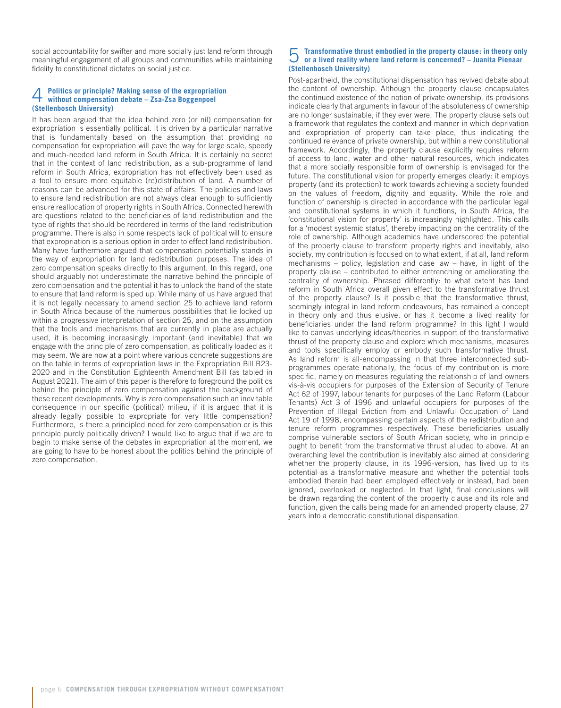social accountability for swifter and more socially just land reform through meaningful engagement of all groups and communities while maintaining fidelity to constitutional dictates on social justice.

#### 4 **Politics or principle? Making sense of the expropriation without compensation debate – Zsa-Zsa Boggenpoel (Stellenbosch University)**

It has been argued that the idea behind zero (or nil) compensation for expropriation is essentially political. It is driven by a particular narrative that is fundamentally based on the assumption that providing no compensation for expropriation will pave the way for large scale, speedy and much-needed land reform in South Africa. It is certainly no secret that in the context of land redistribution, as a sub-programme of land reform in South Africa, expropriation has not effectively been used as a tool to ensure more equitable (re)distribution of land. A number of reasons can be advanced for this state of affairs. The policies and laws to ensure land redistribution are not always clear enough to sufficiently ensure reallocation of property rights in South Africa. Connected herewith are questions related to the beneficiaries of land redistribution and the type of rights that should be reordered in terms of the land redistribution programme. There is also in some respects lack of political will to ensure that expropriation is a serious option in order to effect land redistribution. Many have furthermore argued that compensation potentially stands in the way of expropriation for land redistribution purposes. The idea of zero compensation speaks directly to this argument. In this regard, one should arguably not underestimate the narrative behind the principle of zero compensation and the potential it has to unlock the hand of the state to ensure that land reform is sped up. While many of us have argued that it is not legally necessary to amend section 25 to achieve land reform in South Africa because of the numerous possibilities that lie locked up within a progressive interpretation of section 25, and on the assumption that the tools and mechanisms that are currently in place are actually used, it is becoming increasingly important (and inevitable) that we engage with the principle of zero compensation, as politically loaded as it may seem. We are now at a point where various concrete suggestions are on the table in terms of expropriation laws in the Expropriation Bill B23- 2020 and in the Constitution Eighteenth Amendment Bill (as tabled in August 2021). The aim of this paper is therefore to foreground the politics behind the principle of zero compensation against the background of these recent developments. Why is zero compensation such an inevitable consequence in our specific (political) milieu, if it is argued that it is already legally possible to expropriate for very little compensation? Furthermore, is there a principled need for zero compensation or is this principle purely politically driven? I would like to argue that if we are to begin to make sense of the debates in expropriation at the moment, we are going to have to be honest about the politics behind the principle of zero compensation.

## 5 **Transformative thrust embodied in the property clause: in theory only or a lived reality where land reform is concerned? – Juanita Pienaar (Stellenbosch University)**

Post-apartheid, the constitutional dispensation has revived debate about the content of ownership. Although the property clause encapsulates the continued existence of the notion of private ownership, its provisions indicate clearly that arguments in favour of the absoluteness of ownership are no longer sustainable, if they ever were. The property clause sets out a framework that regulates the context and manner in which deprivation and expropriation of property can take place, thus indicating the continued relevance of private ownership, but within a new constitutional framework. Accordingly, the property clause explicitly requires reform of access to land, water and other natural resources, which indicates that a more socially responsible form of ownership is envisaged for the future. The constitutional vision for property emerges clearly: it employs property (and its protection) to work towards achieving a society founded on the values of freedom, dignity and equality. While the role and function of ownership is directed in accordance with the particular legal and constitutional systems in which it functions, in South Africa, the 'constitutional vision for property' is increasingly highlighted. This calls for a 'modest systemic status', thereby impacting on the centrality of the role of ownership. Although academics have underscored the potential of the property clause to transform property rights and inevitably, also society, my contribution is focused on to what extent, if at all, land reform mechanisms – policy, legislation and case law – have, in light of the property clause – contributed to either entrenching or ameliorating the centrality of ownership. Phrased differently: to what extent has land reform in South Africa overall given effect to the transformative thrust of the property clause? Is it possible that the transformative thrust, seemingly integral in land reform endeavours, has remained a concept in theory only and thus elusive, or has it become a lived reality for beneficiaries under the land reform programme? In this light I would like to canvas underlying ideas/theories in support of the transformative thrust of the property clause and explore which mechanisms, measures and tools specifically employ or embody such transformative thrust. As land reform is all-encompassing in that three interconnected subprogrammes operate nationally, the focus of my contribution is more specific, namely on measures regulating the relationship of land owners vis-à-vis occupiers for purposes of the Extension of Security of Tenure Act 62 of 1997, labour tenants for purposes of the Land Reform (Labour Tenants) Act 3 of 1996 and unlawful occupiers for purposes of the Prevention of Illegal Eviction from and Unlawful Occupation of Land Act 19 of 1998, encompassing certain aspects of the redistribution and tenure reform programmes respectively. These beneficiaries usually comprise vulnerable sectors of South African society, who in principle ought to benefit from the transformative thrust alluded to above. At an overarching level the contribution is inevitably also aimed at considering whether the property clause, in its 1996-version, has lived up to its potential as a transformative measure and whether the potential tools embodied therein had been employed effectively or instead, had been ignored, overlooked or neglected. In that light, final conclusions will be drawn regarding the content of the property clause and its role and function, given the calls being made for an amended property clause, 27 years into a democratic constitutional dispensation.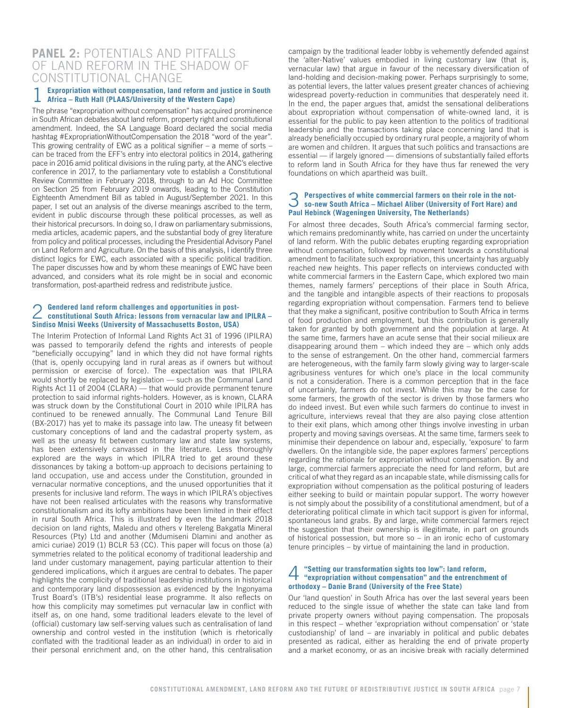### **PANEL 2:** POTENTIALS AND PITFALLS OF LAND REFORM IN THE SHADOW OF CONSTITUTIONAL CHANGE

#### 1 **Expropriation without compensation, land reform and justice in South Africa – Ruth Hall (PLAAS/University of the Western Cape)**

The phrase "expropriation without compensation" has acquired prominence in South African debates about land reform, property right and constitutional amendment. Indeed, the SA Language Board declared the social media hashtag #ExpropriationWithoutCompensation the 2018 "word of the year". This growing centrality of EWC as a political signifier – a meme of sorts – can be traced from the EFF's entry into electoral politics in 2014, gathering pace in 2016 amid political divisions in the ruling party, at the ANC's elective conference in 2017, to the parliamentary vote to establish a Constitutional Review Committee in February 2018, through to an Ad Hoc Committee on Section 25 from February 2019 onwards, leading to the Constitution Eighteenth Amendment Bill as tabled in August/September 2021. In this paper, I set out an analysis of the diverse meanings ascribed to the term, evident in public discourse through these political processes, as well as their historical precursors. In doing so, I draw on parliamentary submissions, media articles, academic papers, and the substantial body of grey literature from policy and political processes, including the Presidential Advisory Panel on Land Reform and Agriculture. On the basis of this analysis, I identify three distinct logics for EWC, each associated with a specific political tradition. The paper discusses how and by whom these meanings of EWC have been advanced, and considers what its role might be in social and economic transformation, post-apartheid redress and redistribute justice.

## 2 **Gendered land reform challenges and opportunities in post-constitutional South Africa: lessons from vernacular law and IPILRA – Sindiso Mnisi Weeks (University of Massachusetts Boston, USA)**

The Interim Protection of Informal Land Rights Act 31 of 1996 (IPILRA) was passed to temporarily defend the rights and interests of people "beneficially occupying" land in which they did not have formal rights (that is, openly occupying land in rural areas as if owners but without permission or exercise of force). The expectation was that IPILRA would shortly be replaced by legislation — such as the Communal Land Rights Act 11 of 2004 (CLARA) — that would provide permanent tenure protection to said informal rights-holders. However, as is known, CLARA was struck down by the Constitutional Court in 2010 while IPILRA has continued to be renewed annually. The Communal Land Tenure Bill (BX-2017) has yet to make its passage into law. The uneasy fit between customary conceptions of land and the cadastral property system, as well as the uneasy fit between customary law and state law systems, has been extensively canvassed in the literature. Less thoroughly explored are the ways in which IPILRA tried to get around these dissonances by taking a bottom-up approach to decisions pertaining to land occupation, use and access under the Constitution, grounded in vernacular normative conceptions, and the unused opportunities that it presents for inclusive land reform. The ways in which IPILRA's objectives have not been realised articulates with the reasons why transformative constitutionalism and its lofty ambitions have been limited in their effect in rural South Africa. This is illustrated by even the landmark 2018 decision on land rights, Maledu and others v Itereleng Bakgatla Mineral Resources (Pty) Ltd and another (Mdumiseni Dlamini and another as amici curiae) 2019 (1) BCLR 53 (CC). This paper will focus on those (a) symmetries related to the political economy of traditional leadership and land under customary management, paying particular attention to their gendered implications, which it argues are central to debates. The paper highlights the complicity of traditional leadership institutions in historical and contemporary land dispossession as evidenced by the Ingonyama Trust Board's (ITB's) residential lease programme. It also reflects on how this complicity may sometimes put vernacular law in conflict with itself as, on one hand, some traditional leaders elevate to the level of (official) customary law self-serving values such as centralisation of land ownership and control vested in the institution (which is rhetorically conflated with the traditional leader as an individual) in order to aid in their personal enrichment and, on the other hand, this centralisation

campaign by the traditional leader lobby is vehemently defended against the 'alter-Native' values embodied in living customary law (that is, vernacular law) that argue in favour of the necessary diversification of land-holding and decision-making power. Perhaps surprisingly to some, as potential levers, the latter values present greater chances of achieving widespread poverty-reduction in communities that desperately need it. In the end, the paper argues that, amidst the sensational deliberations about expropriation without compensation of white-owned land, it is essential for the public to pay keen attention to the politics of traditional leadership and the transactions taking place concerning land that is already beneficially occupied by ordinary rural people, a majority of whom are women and children. It argues that such politics and transactions are essential — if largely ignored — dimensions of substantially failed efforts to reform land in South Africa for they have thus far renewed the very foundations on which apartheid was built.

### 3 **Perspectives of white commercial farmers on their role in the not-so-new South Africa – Michael Aliber (University of Fort Hare) and Paul Hebinck (Wageningen University, The Netherlands)**

For almost three decades, South Africa's commercial farming sector, which remains predominantly white, has carried on under the uncertainty of land reform. With the public debates erupting regarding expropriation without compensation, followed by movement towards a constitutional amendment to facilitate such expropriation, this uncertainty has arguably reached new heights. This paper reflects on interviews conducted with white commercial farmers in the Eastern Cape, which explored two main themes, namely farmers' perceptions of their place in South Africa, and the tangible and intangible aspects of their reactions to proposals regarding expropriation without compensation. Farmers tend to believe that they make a significant, positive contribution to South Africa in terms of food production and employment, but this contribution is generally taken for granted by both government and the population at large. At the same time, farmers have an acute sense that their social milieux are disappearing around them – which indeed they are – which only adds to the sense of estrangement. On the other hand, commercial farmers are heterogeneous, with the family farm slowly giving way to larger-scale agribusiness ventures for which one's place in the local community is not a consideration. There is a common perception that in the face of uncertainly, farmers do not invest. While this may be the case for some farmers, the growth of the sector is driven by those farmers who do indeed invest. But even while such farmers do continue to invest in agriculture, interviews reveal that they are also paying close attention to their exit plans, which among other things involve investing in urban property and moving savings overseas. At the same time, farmers seek to minimise their dependence on labour and, especially, 'exposure' to farm dwellers. On the intangible side, the paper explores farmers' perceptions regarding the rationale for expropriation without compensation. By and large, commercial farmers appreciate the need for land reform, but are critical of what they regard as an incapable state, while dismissing calls for expropriation without compensation as the political posturing of leaders either seeking to build or maintain popular support. The worry however is not simply about the possibility of a constitutional amendment, but of a deteriorating political climate in which tacit support is given for informal, spontaneous land grabs. By and large, white commercial farmers reject the suggestion that their ownership is illegitimate, in part on grounds of historical possession, but more so – in an ironic echo of customary tenure principles – by virtue of maintaining the land in production.

### 4 **"Setting our transformation sights too low": land reform, "expropriation without compensation" and the entrenchment of orthodoxy – Danie Brand (University of the Free State)**

Our 'land question' in South Africa has over the last several years been reduced to the single issue of whether the state can take land from private property owners without paying compensation. The proposals in this respect – whether 'expropriation without compensation' or 'state custodianship' of land – are invariably in political and public debates presented as radical, either as heralding the end of private property and a market economy, or as an incisive break with racially determined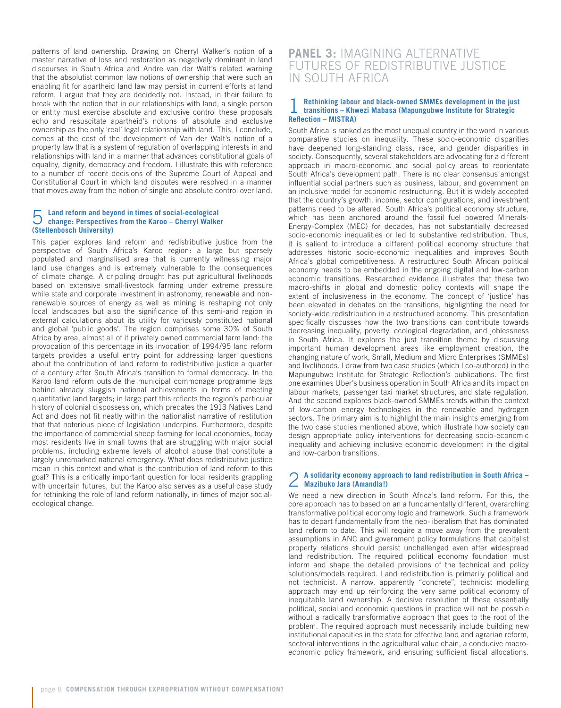patterns of land ownership. Drawing on Cherryl Walker's notion of a master narrative of loss and restoration as negatively dominant in land discourses in South Africa and Andre van der Walt's related warning that the absolutist common law notions of ownership that were such an enabling fit for apartheid land law may persist in current efforts at land reform, I argue that they are decidedly not. Instead, in their failure to break with the notion that in our relationships with land, a single person or entity must exercise absolute and exclusive control these proposals echo and resuscitate apartheid's notions of absolute and exclusive ownership as the only 'real' legal relationship with land. This, I conclude, comes at the cost of the development of Van der Walt's notion of a property law that is a system of regulation of overlapping interests in and relationships with land in a manner that advances constitutional goals of equality, dignity, democracy and freedom. I illustrate this with reference to a number of recent decisions of the Supreme Court of Appeal and Constitutional Court in which land disputes were resolved in a manner that moves away from the notion of single and absolute control over land.

## 5 **Land reform and beyond in times of social-ecological change: Perspectives from the Karoo – Cherryl Walker (Stellenbosch University)**

This paper explores land reform and redistributive justice from the perspective of South Africa's Karoo region: a large but sparsely populated and marginalised area that is currently witnessing major land use changes and is extremely vulnerable to the consequences of climate change. A crippling drought has put agricultural livelihoods based on extensive small-livestock farming under extreme pressure while state and corporate investment in astronomy, renewable and nonrenewable sources of energy as well as mining is reshaping not only local landscapes but also the significance of this semi-arid region in external calculations about its utility for variously constituted national and global 'public goods'. The region comprises some 30% of South Africa by area, almost all of it privately owned commercial farm land: the provocation of this percentage in its invocation of 1994/95 land reform targets provides a useful entry point for addressing larger questions about the contribution of land reform to redistributive justice a quarter of a century after South Africa's transition to formal democracy. In the Karoo land reform outside the municipal commonage programme lags behind already sluggish national achievements in terms of meeting quantitative land targets; in large part this reflects the region's particular history of colonial dispossession, which predates the 1913 Natives Land Act and does not fit neatly within the nationalist narrative of restitution that that notorious piece of legislation underpins. Furthermore, despite the importance of commercial sheep farming for local economies, today most residents live in small towns that are struggling with major social problems, including extreme levels of alcohol abuse that constitute a largely unremarked national emergency. What does redistributive justice mean in this context and what is the contribution of land reform to this goal? This is a critically important question for local residents grappling with uncertain futures, but the Karoo also serves as a useful case study for rethinking the role of land reform nationally, in times of major socialecological change.

### **PANEL 3:** IMAGINING ALTERNATIVE FUTURES OF REDISTRIBUTIVE JUSTICE IN SOUTH AFRICA

### 1 **Rethinking labour and black-owned SMMEs development in the just transitions – Khwezi Mabasa (Mapungubwe Institute for Strategic Reflection – MISTRA)**

South Africa is ranked as the most unequal country in the word in various comparative studies on inequality. These socio-economic disparities have deepened long-standing class, race, and gender disparities in society. Consequently, several stakeholders are advocating for a different approach in macro-economic and social policy areas to reorientate South Africa's development path. There is no clear consensus amongst influential social partners such as business, labour, and government on an inclusive model for economic restructuring. But it is widely accepted that the country's growth, income, sector configurations, and investment patterns need to be altered. South Africa's political economy structure, which has been anchored around the fossil fuel powered Minerals-Energy-Complex (MEC) for decades, has not substantially decreased socio-economic inequalities or led to substantive redistribution. Thus, it is salient to introduce a different political economy structure that addresses historic socio-economic inequalities and improves South Africa's global competitiveness. A restructured South African political economy needs to be embedded in the ongoing digital and low-carbon economic transitions. Researched evidence illustrates that these two macro-shifts in global and domestic policy contexts will shape the extent of inclusiveness in the economy. The concept of 'justice' has been elevated in debates on the transitions, highlighting the need for society-wide redistribution in a restructured economy. This presentation specifically discusses how the two transitions can contribute towards decreasing inequality, poverty, ecological degradation, and joblessness in South Africa. It explores the just transition theme by discussing important human development areas like employment creation, the changing nature of work, Small, Medium and Micro Enterprises (SMMEs) and livelihoods. I draw from two case studies (which I co-authored) in the Mapungubwe Institute for Strategic Reflection's publications. The first one examines Uber's business operation in South Africa and its impact on labour markets, passenger taxi market structures, and state regulation. And the second explores black-owned SMMEs trends within the context of low-carbon energy technologies in the renewable and hydrogen sectors. The primary aim is to highlight the main insights emerging from the two case studies mentioned above, which illustrate how society can design appropriate policy interventions for decreasing socio-economic inequality and achieving inclusive economic development in the digital and low-carbon transitions.

#### 2 **A solidarity economy approach to land redistribution in South Africa – Mazibuko Jara (Amandla!)**

We need a new direction in South Africa's land reform. For this, the core approach has to based on an a fundamentally different, overarching transformative political economy logic and framework. Such a framework has to depart fundamentally from the neo-liberalism that has dominated land reform to date. This will require a move away from the prevalent assumptions in ANC and government policy formulations that capitalist property relations should persist unchallenged even after widespread land redistribution. The required political economy foundation must inform and shape the detailed provisions of the technical and policy solutions/models required. Land redistribution is primarily political and not technicist. A narrow, apparently "concrete", technicist modelling approach may end up reinforcing the very same political economy of inequitable land ownership. A decisive resolution of these essentially political, social and economic questions in practice will not be possible without a radically transformative approach that goes to the root of the problem. The required approach must necessarily include building new institutional capacities in the state for effective land and agrarian reform, sectoral interventions in the agricultural value chain, a conducive macroeconomic policy framework, and ensuring sufficient fiscal allocations.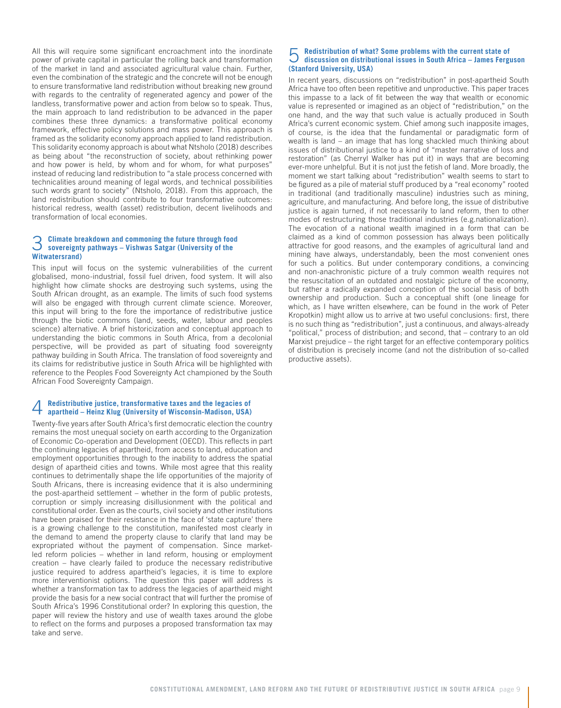All this will require some significant encroachment into the inordinate power of private capital in particular the rolling back and transformation of the market in land and associated agricultural value chain. Further, even the combination of the strategic and the concrete will not be enough to ensure transformative land redistribution without breaking new ground with regards to the centrality of regenerated agency and power of the landless, transformative power and action from below so to speak. Thus, the main approach to land redistribution to be advanced in the paper combines these three dynamics: a transformative political economy framework, effective policy solutions and mass power. This approach is framed as the solidarity economy approach applied to land redistribution. This solidarity economy approach is about what Ntsholo (2018) describes as being about "the reconstruction of society, about rethinking power and how power is held, by whom and for whom, for what purposes" instead of reducing land redistribution to "a stale process concerned with technicalities around meaning of legal words, and technical possibilities such words grant to society" (Ntsholo, 2018). From this approach, the land redistribution should contribute to four transformative outcomes: historical redress, wealth (asset) redistribution, decent livelihoods and transformation of local economies.

## 3 **Climate breakdown and commoning the future through food sovereignty pathways – Vishwas Satgar (University of the Witwatersrand)**

This input will focus on the systemic vulnerabilities of the current globalised, mono-industrial, fossil fuel driven, food system. It will also highlight how climate shocks are destroying such systems, using the South African drought, as an example. The limits of such food systems will also be engaged with through current climate science. Moreover, this input will bring to the fore the importance of redistributive justice through the biotic commons (land, seeds, water, labour and peoples science) alternative. A brief historicization and conceptual approach to understanding the biotic commons in South Africa, from a decolonial perspective, will be provided as part of situating food sovereignty pathway building in South Africa. The translation of food sovereignty and its claims for redistributive justice in South Africa will be highlighted with reference to the Peoples Food Sovereignty Act championed by the South African Food Sovereignty Campaign.

## 4 **Redistributive justice, transformative taxes and the legacies of apartheid – Heinz Klug (University of Wisconsin-Madison, USA)**

Twenty-five years after South Africa's first democratic election the country remains the most unequal society on earth according to the Organization of Economic Co-operation and Development (OECD). This reflects in part the continuing legacies of apartheid, from access to land, education and employment opportunities through to the inability to address the spatial design of apartheid cities and towns. While most agree that this reality continues to detrimentally shape the life opportunities of the majority of South Africans, there is increasing evidence that it is also undermining the post-apartheid settlement – whether in the form of public protests, corruption or simply increasing disillusionment with the political and constitutional order. Even as the courts, civil society and other institutions have been praised for their resistance in the face of 'state capture' there is a growing challenge to the constitution, manifested most clearly in the demand to amend the property clause to clarify that land may be expropriated without the payment of compensation. Since marketled reform policies – whether in land reform, housing or employment creation – have clearly failed to produce the necessary redistributive justice required to address apartheid's legacies, it is time to explore more interventionist options. The question this paper will address is whether a transformation tax to address the legacies of apartheid might provide the basis for a new social contract that will further the promise of South Africa's 1996 Constitutional order? In exploring this question, the paper will review the history and use of wealth taxes around the globe to reflect on the forms and purposes a proposed transformation tax may take and serve.

## 5 **Redistribution of what? Some problems with the current state of discussion on distributional issues in South Africa – James Ferguson (Stanford University, USA)**

In recent years, discussions on "redistribution" in post-apartheid South Africa have too often been repetitive and unproductive. This paper traces this impasse to a lack of fit between the way that wealth or economic value is represented or imagined as an object of "redistribution," on the one hand, and the way that such value is actually produced in South Africa's current economic system. Chief among such inapposite images, of course, is the idea that the fundamental or paradigmatic form of wealth is land – an image that has long shackled much thinking about issues of distributional justice to a kind of "master narrative of loss and restoration" (as Cherryl Walker has put it) in ways that are becoming ever-more unhelpful. But it is not just the fetish of land. More broadly, the moment we start talking about "redistribution" wealth seems to start to be figured as a pile of material stuff produced by a "real economy" rooted in traditional (and traditionally masculine) industries such as mining, agriculture, and manufacturing. And before long, the issue of distributive justice is again turned, if not necessarily to land reform, then to other modes of restructuring those traditional industries (e.g.nationalization). The evocation of a national wealth imagined in a form that can be claimed as a kind of common possession has always been politically attractive for good reasons, and the examples of agricultural land and mining have always, understandably, been the most convenient ones for such a politics. But under contemporary conditions, a convincing and non-anachronistic picture of a truly common wealth requires not the resuscitation of an outdated and nostalgic picture of the economy, but rather a radically expanded conception of the social basis of both ownership and production. Such a conceptual shift (one lineage for which, as I have written elsewhere, can be found in the work of Peter Kropotkin) might allow us to arrive at two useful conclusions: first, there is no such thing as "redistribution", just a continuous, and always-already "political," process of distribution; and second, that – contrary to an old Marxist prejudice – the right target for an effective contemporary politics of distribution is precisely income (and not the distribution of so-called productive assets).